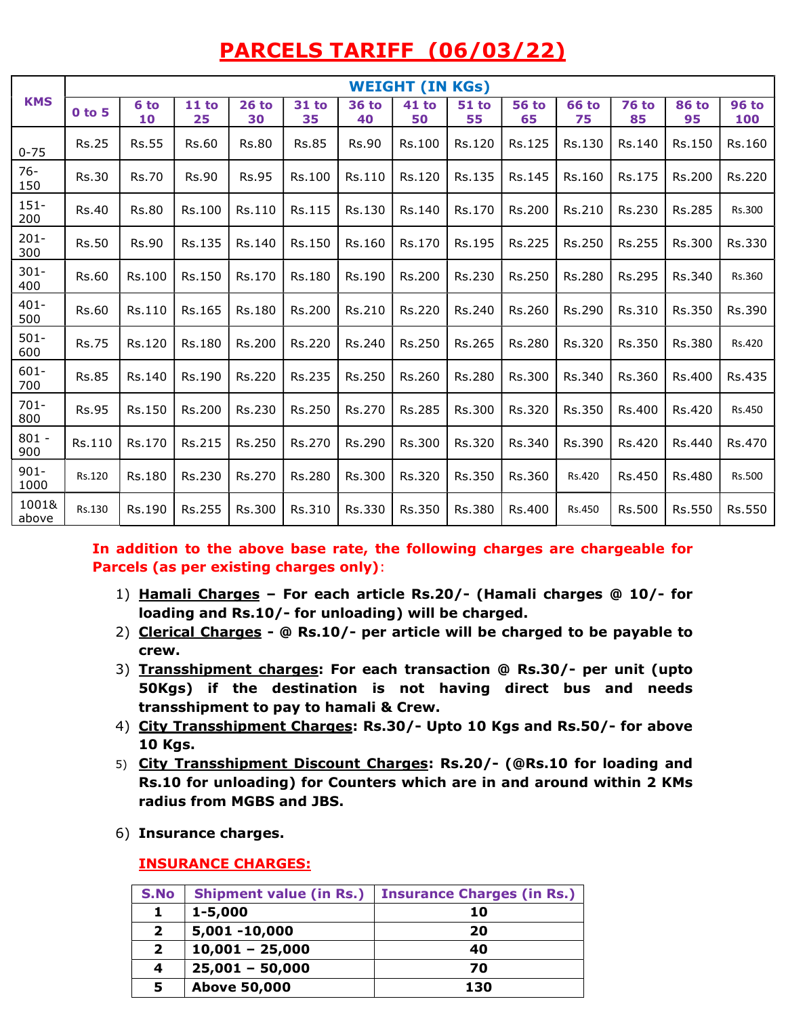# PARCELS TARIFF (06/03/22)

|                 |              | <b>WEIGHT (IN KGs)</b> |              |               |                    |                    |                    |                    |                    |                    |                    |                    |                     |
|-----------------|--------------|------------------------|--------------|---------------|--------------------|--------------------|--------------------|--------------------|--------------------|--------------------|--------------------|--------------------|---------------------|
| <b>KMS</b>      | 0 to 5       | 6 to<br>10             | 11 to<br>25  | $26$ to<br>30 | <b>31 to</b><br>35 | <b>36 to</b><br>40 | <b>41 to</b><br>50 | <b>51 to</b><br>55 | <b>56 to</b><br>65 | <b>66 to</b><br>75 | <b>76 to</b><br>85 | <b>86 to</b><br>95 | <b>96 to</b><br>100 |
| $0 - 75$        | <b>Rs.25</b> | <b>Rs.55</b>           | Rs.60        | <b>Rs.80</b>  | <b>Rs.85</b>       | <b>Rs.90</b>       | Rs.100             | Rs.120             | Rs.125             | Rs.130             | Rs.140             | Rs.150             | Rs.160              |
| $76 -$<br>150   | <b>Rs.30</b> | <b>Rs.70</b>           | <b>Rs.90</b> | <b>Rs.95</b>  | Rs.100             | Rs.110             | Rs.120             | Rs.135             | Rs.145             | Rs.160             | Rs.175             | Rs.200             | Rs.220              |
| $151 -$<br>200  | <b>Rs.40</b> | <b>Rs.80</b>           | Rs.100       | Rs.110        | Rs.115             | Rs.130             | Rs.140             | Rs.170             | Rs.200             | Rs.210             | Rs.230             | Rs.285             | Rs.300              |
| $201 -$<br>300  | Rs.50        | <b>Rs.90</b>           | Rs.135       | Rs.140        | Rs.150             | Rs.160             | Rs.170             | Rs.195             | Rs.225             | Rs.250             | Rs.255             | Rs.300             | Rs.330              |
| $301 -$<br>400  | <b>Rs.60</b> | Rs.100                 | Rs.150       | Rs.170        | Rs.180             | Rs.190             | Rs.200             | Rs.230             | Rs.250             | Rs.280             | Rs.295             | Rs.340             | Rs.360              |
| $401 -$<br>500  | <b>Rs.60</b> | Rs.110                 | Rs.165       | Rs.180        | Rs.200             | Rs.210             | Rs.220             | Rs.240             | Rs.260             | Rs.290             | Rs.310             | Rs.350             | Rs.390              |
| $501 -$<br>600  | <b>Rs.75</b> | Rs.120                 | Rs.180       | Rs.200        | Rs.220             | Rs.240             | Rs.250             | Rs.265             | Rs.280             | Rs.320             | Rs.350             | Rs.380             | Rs.420              |
| $601 -$<br>700  | <b>Rs.85</b> | Rs.140                 | Rs.190       | Rs.220        | Rs.235             | Rs.250             | Rs.260             | Rs.280             | Rs.300             | Rs.340             | Rs.360             | Rs.400             | Rs.435              |
| $701 -$<br>800  | <b>Rs.95</b> | Rs.150                 | Rs.200       | Rs.230        | Rs.250             | Rs.270             | Rs.285             | Rs.300             | Rs.320             | Rs.350             | Rs.400             | Rs.420             | Rs.450              |
| $801 -$<br>900  | Rs.110       | Rs.170                 | Rs.215       | Rs.250        | Rs.270             | Rs.290             | Rs.300             | Rs.320             | Rs.340             | Rs.390             | Rs.420             | Rs.440             | Rs.470              |
| $901 -$<br>1000 | Rs.120       | Rs.180                 | Rs.230       | Rs.270        | Rs.280             | Rs.300             | Rs.320             | Rs.350             | Rs.360             | Rs.420             | Rs.450             | Rs.480             | Rs.500              |
| 1001&<br>above  | Rs.130       | Rs.190                 | Rs.255       | Rs.300        | Rs.310             | Rs.330             | Rs.350             | Rs.380             | Rs.400             | Rs.450             | Rs.500             | Rs.550             | Rs.550              |

In addition to the above base rate, the following charges are chargeable for Parcels (as per existing charges only):

- 1) Hamali Charges For each article Rs.20/- (Hamali charges @ 10/- for loading and Rs.10/- for unloading) will be charged.
- 2) Clerical Charges @ Rs.10/- per article will be charged to be payable to crew.
- 3) Transshipment charges: For each transaction @ Rs.30/- per unit (upto 50Kgs) if the destination is not having direct bus and needs transshipment to pay to hamali & Crew.
- 4) City Transshipment Charges: Rs.30/- Upto 10 Kgs and Rs.50/- for above 10 Kgs.
- 5) City Transshipment Discount Charges: Rs.20/- (@Rs.10 for loading and Rs.10 for unloading) for Counters which are in and around within 2 KMs radius from MGBS and JBS.
- 6) Insurance charges.

## INSURANCE CHARGES:

| S.No           |                     | Shipment value (in Rs.)   Insurance Charges (in Rs.) |
|----------------|---------------------|------------------------------------------------------|
|                | $1 - 5,000$         | 10                                                   |
| $\overline{2}$ | 5,001 -10,000       | 20                                                   |
| $\mathbf{2}$   | $10,001 - 25,000$   | 40                                                   |
| 4              | $25,001 - 50,000$   | 70                                                   |
| 5              | <b>Above 50,000</b> | 130                                                  |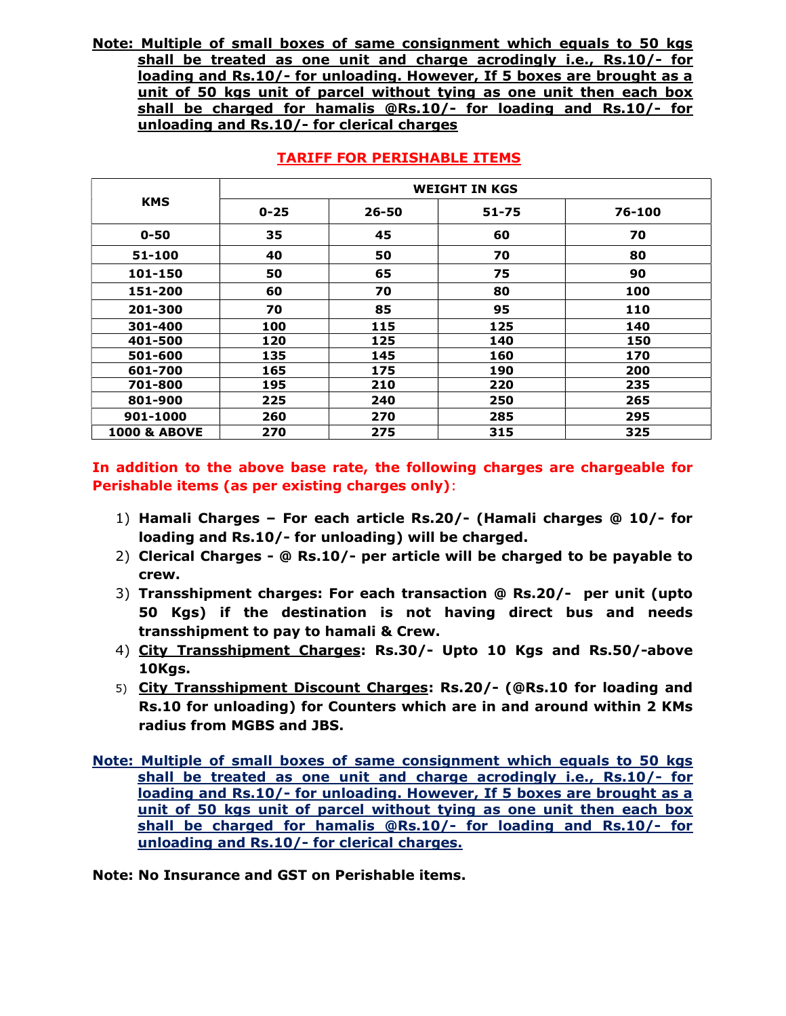Note: Multiple of small boxes of same consignment which equals to 50 kgs shall be treated as one unit and charge acrodingly i.e., Rs.10/- for loading and Rs.10/- for unloading. However, If 5 boxes are brought as a unit of 50 kgs unit of parcel without tying as one unit then each box shall be charged for hamalis @Rs.10/- for loading and Rs.10/- for unloading and Rs.10/- for clerical charges

|                         | <b>WEIGHT IN KGS</b> |           |       |        |  |  |  |
|-------------------------|----------------------|-----------|-------|--------|--|--|--|
| <b>KMS</b>              | $0 - 25$             | $26 - 50$ | 51-75 | 76-100 |  |  |  |
| $0 - 50$                | 35                   | 45        | 60    | 70     |  |  |  |
| 51-100                  | 40                   | 50        | 70    | 80     |  |  |  |
| 101-150                 | 50                   | 65        | 75    | 90     |  |  |  |
| 151-200                 | 60                   | 70        | 80    | 100    |  |  |  |
| 201-300                 | 70                   | 85        | 95    | 110    |  |  |  |
| 301-400                 | 100                  | 115       | 125   | 140    |  |  |  |
| 401-500                 | 120                  | 125       | 140   | 150    |  |  |  |
| 501-600                 | 135                  | 145       | 160   | 170    |  |  |  |
| 601-700                 | 165                  | 175       | 190   | 200    |  |  |  |
| 701-800                 | 195                  | 210       | 220   | 235    |  |  |  |
| 801-900                 | 225                  | 240       | 250   | 265    |  |  |  |
| 901-1000                | 260                  | 270       | 285   | 295    |  |  |  |
| <b>1000 &amp; ABOVE</b> | 270                  | 275       | 315   | 325    |  |  |  |

#### TARIFF FOR PERISHABLE ITEMS

In addition to the above base rate, the following charges are chargeable for Perishable items (as per existing charges only):

- 1) Hamali Charges For each article Rs.20/- (Hamali charges @ 10/- for loading and Rs.10/- for unloading) will be charged.
- 2) Clerical Charges @ Rs.10/- per article will be charged to be payable to crew.
- 3) Transshipment charges: For each transaction @ Rs.20/- per unit (upto 50 Kgs) if the destination is not having direct bus and needs transshipment to pay to hamali & Crew.
- 4) City Transshipment Charges: Rs.30/- Upto 10 Kgs and Rs.50/-above 10Kgs.
- 5) City Transshipment Discount Charges: Rs.20/- (@Rs.10 for loading and Rs.10 for unloading) for Counters which are in and around within 2 KMs radius from MGBS and JBS.
- Note: Multiple of small boxes of same consignment which equals to 50 kgs shall be treated as one unit and charge acrodingly i.e., Rs.10/- for loading and Rs.10/- for unloading. However, If 5 boxes are brought as a unit of 50 kgs unit of parcel without tying as one unit then each box shall be charged for hamalis @Rs.10/- for loading and Rs.10/- for unloading and Rs.10/- for clerical charges.

Note: No Insurance and GST on Perishable items.